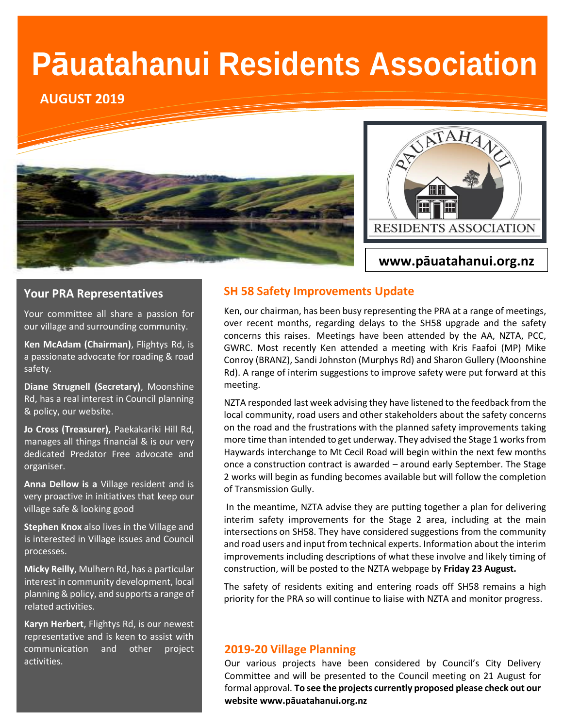# **Pāuatahanui Residents Association**

**AUGUST 2019**





## **Your PRA Representatives**

Your committee all share a passion for our village and surrounding community.

**Ken McAdam (Chairman)**, Flightys Rd, is a passionate advocate for roading & road safety.

**Diane Strugnell (Secretary)**, Moonshine Rd, has a real interest in Council planning & policy, our website.

**Jo Cross (Treasurer),** Paekakariki Hill Rd, manages all things financial & is our very dedicated Predator Free advocate and organiser.

**Anna Dellow is a** Village resident and is very proactive in initiatives that keep our village safe & looking good

**Stephen Knox** also lives in the Village and is interested in Village issues and Council processes.

**Micky Reilly**, Mulhern Rd, has a particular interest in community development, local planning & policy, and supports a range of related activities.

**Karyn Herbert**, Flightys Rd, is our newest representative and is keen to assist with communication and other project activities.

## **SH 58 Safety Improvements Update**

Ken, our chairman, has been busy representing the PRA at a range of meetings, over recent months, regarding delays to the SH58 upgrade and the safety concerns this raises. Meetings have been attended by the AA, NZTA, PCC, GWRC. Most recently Ken attended a meeting with Kris Faafoi (MP) Mike Conroy (BRANZ), Sandi Johnston (Murphys Rd) and Sharon Gullery (Moonshine Rd). A range of interim suggestions to improve safety were put forward at this meeting.

NZTA responded last week advising they have listened to the feedback from the local community, road users and other stakeholders about the safety concerns on the road and the frustrations with the planned safety improvements taking more time than intended to get underway. They advised the Stage 1 works from Haywards interchange to Mt Cecil Road will begin within the next few months once a construction contract is awarded – around early September. The Stage 2 works will begin as funding becomes available but will follow the completion of Transmission Gully.

In the meantime, NZTA advise they are putting together a plan for delivering interim safety improvements for the Stage 2 area, including at the main intersections on SH58. They have considered suggestions from the community and road users and input from technical experts. Information about the interim improvements including descriptions of what these involve and likely timing of construction, will be posted to the NZTA webpage by **Friday 23 August.** 

The safety of residents exiting and entering roads off SH58 remains a high priority for the PRA so will continue to liaise with NZTA and monitor progress.

#### **2019-20 Village Planning**

Our various projects have been considered by Council's City Delivery Committee and will be presented to the Council meeting on 21 August for formal approval. **To see the projects currently proposed please check out our website www.pāuatahanui.org.nz**